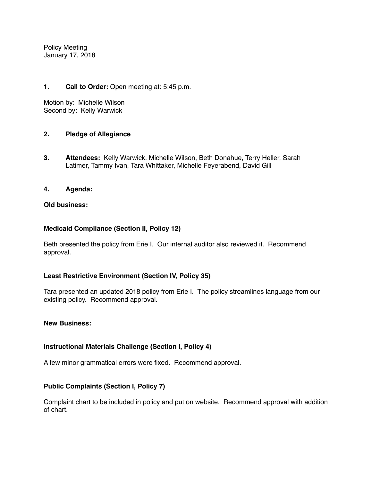Policy Meeting January 17, 2018

## **1. Call to Order:** Open meeting at: 5:45 p.m.

Motion by: Michelle Wilson Second by: Kelly Warwick

### **2. Pledge of Allegiance**

**3. Attendees:** Kelly Warwick, Michelle Wilson, Beth Donahue, Terry Heller, Sarah Latimer, Tammy Ivan, Tara Whittaker, Michelle Feyerabend, David Gill

### **4. Agenda:**

### **Old business:**

### **Medicaid Compliance (Section II, Policy 12)**

Beth presented the policy from Erie I. Our internal auditor also reviewed it. Recommend approval.

#### **Least Restrictive Environment (Section IV, Policy 35)**

Tara presented an updated 2018 policy from Erie I. The policy streamlines language from our existing policy. Recommend approval.

#### **New Business:**

## **Instructional Materials Challenge (Section I, Policy 4)**

A few minor grammatical errors were fixed. Recommend approval.

## **Public Complaints (Section I, Policy 7)**

Complaint chart to be included in policy and put on website. Recommend approval with addition of chart.